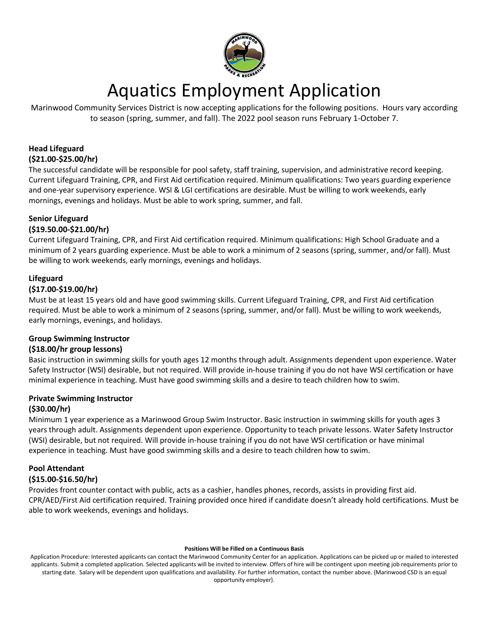

# Aquatics Employment Application

Marinwood Community Services District is now accepting applications for the following positions. Hours vary according to season (spring, summer, and fall). The 2022 pool season runs February 1-October 7.

# **Head Lifeguard (\$21.00-\$25.00/hr)**

The successful candidate will be responsible for pool safety, staff training, supervision, and administrative record keeping. Current Lifeguard Training, CPR, and First Aid certification required. Minimum qualifications: Two years guarding experience and one-year supervisory experience. WSI & LGI certifications are desirable. Must be willing to work weekends, early mornings, evenings and holidays. Must be able to work spring, summer, and fall.

# **Senior Lifeguard**

# **(\$19.50.00-\$21.00/hr)**

Current Lifeguard Training, CPR, and First Aid certification required. Minimum qualifications: High School Graduate and a minimum of 2 years guarding experience. Must be able to work a minimum of 2 seasons (spring, summer, and/or fall). Must be willing to work weekends, early mornings, evenings and holidays.

# **Lifeguard**

## **(\$17.00-\$19.00/hr)**

Must be at least 15 years old and have good swimming skills. Current Lifeguard Training, CPR, and First Aid certification required. Must be able to work a minimum of 2 seasons (spring, summer, and/or fall). Must be willing to work weekends, early mornings, evenings, and holidays.

## **Group Swimming Instructor**

## **(\$18.00/hr group lessons)**

Basic instruction in swimming skills for youth ages 12 months through adult. Assignments dependent upon experience. Water Safety Instructor (WSI) desirable, but not required. Will provide in-house training if you do not have WSI certification or have minimal experience in teaching. Must have good swimming skills and a desire to teach children how to swim.

# **Private Swimming Instructor**

## **(\$30.00/hr)**

Minimum 1 year experience as a Marinwood Group Swim Instructor. Basic instruction in swimming skills for youth ages 3 years through adult. Assignments dependent upon experience. Opportunity to teach private lessons. Water Safety Instructor (WSI) desirable, but not required. Will provide in-house training if you do not have WSI certification or have minimal experience in teaching. Must have good swimming skills and a desire to teach children how to swim.

#### **Pool Attendant (\$15.00-\$16.50/hr)**

Provides front counter contact with public, acts as a cashier, handles phones, records, assists in providing first aid. CPR/AED/First Aid certification required. Training provided once hired if candidate doesn't already hold certifications. Must be able to work weekends, evenings and holidays.

#### **Positions Will be Filled on a Continuous Basis**

Application Procedure: Interested applicants can contact the Marinwood Community Center for an application. Applications can be picked up or mailed to interested applicants. Submit a completed application. Selected applicants will be invited to interview. Offers of hire will be contingent upon meeting job requirements prior to starting date. Salary will be dependent upon qualifications and availability. For further information, contact the number above. {Marinwood CSD is an equal opportunity employer}.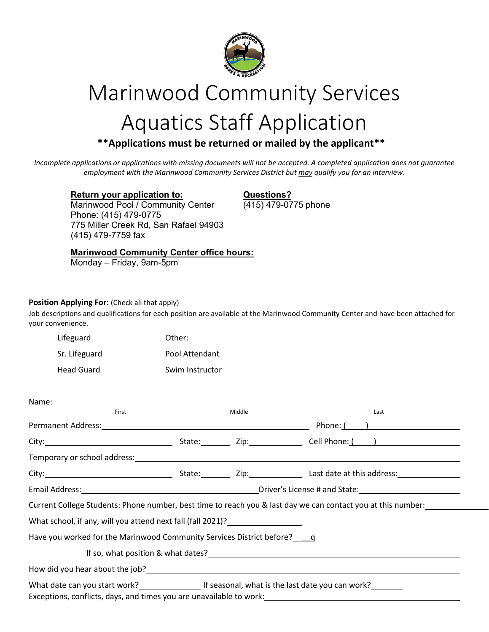

# Marinwood Community Services

# Aquatics Staff Application

# \*\*Applications must be returned or mailed by the applicant\*\*

*Incomplete applications or applications with missing documents will not be accepted. A completed application does not guarantee employment with the Marinwood Community Services District but may qualify you for an interview.*

**Return your application to: Questions?**<br>
Marinwood Pool / Community Center (415) 479-0775 phone Marinwood Pool / Community Center Phone: (415) 479-0775 775 Miller Creek Rd, San Rafael 94903 (415) 479-7759 fax

# **Marinwood Community Center office hours:**

Monday – Friday, 9am-5pm

## **Position Applying For:** (Check all that apply)

Job descriptions and qualifications for each position are available at the Marinwood Community Center and have been attached for your convenience.

Lifeguard Other: Sr. Lifeguard **Pool Attendant** 

Head Guard Swim Instructor

| First                                                                      |  | Middle | Last                                                                                                         |  |
|----------------------------------------------------------------------------|--|--------|--------------------------------------------------------------------------------------------------------------|--|
|                                                                            |  |        | Phone: ( )                                                                                                   |  |
|                                                                            |  |        |                                                                                                              |  |
|                                                                            |  |        |                                                                                                              |  |
|                                                                            |  |        |                                                                                                              |  |
|                                                                            |  |        |                                                                                                              |  |
|                                                                            |  |        | Current College Students: Phone number, best time to reach you & last day we can contact you at this number: |  |
| What school, if any, will you attend next fall (fall 2021)?                |  |        |                                                                                                              |  |
| Have you worked for the Marinwood Community Services District before?<br>q |  |        |                                                                                                              |  |
|                                                                            |  |        |                                                                                                              |  |
|                                                                            |  |        |                                                                                                              |  |
| Exceptions, conflicts, days, and times you are unavailable to work:        |  |        |                                                                                                              |  |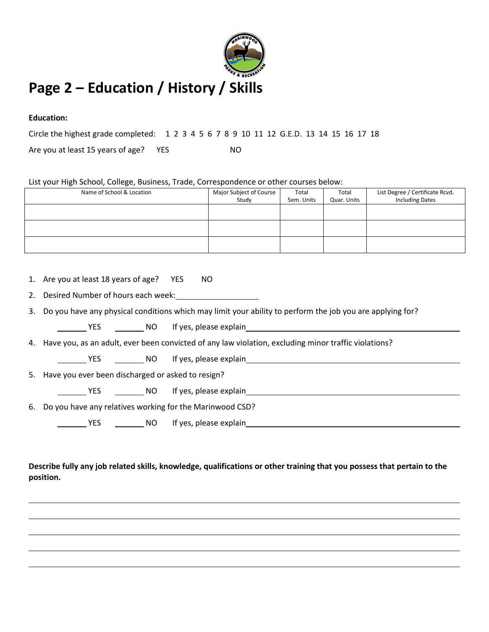

# **Education:**

Circle the highest grade completed: 1 2 3 4 5 6 7 8 9 10 11 12 G.E.D. 13 14 15 16 17 18

Are you at least 15 years of age? YES NO

List your High School, College, Business, Trade, Correspondence or other courses below:

| Name of School & Location | Major Subject of Course<br>Study | Total<br>Sem. Units | Total<br>Quar. Units | List Degree / Certificate Rcvd.<br><b>Including Dates</b> |
|---------------------------|----------------------------------|---------------------|----------------------|-----------------------------------------------------------|
|                           |                                  |                     |                      |                                                           |
|                           |                                  |                     |                      |                                                           |
|                           |                                  |                     |                      |                                                           |

| 1. Are you at least 18 years of age? YES | NO |
|------------------------------------------|----|
|                                          |    |

2. Desired Number of hours each week:

3. Do you have any physical conditions which may limit your ability to perform the job you are applying for?

YES NO If yes, please explain

4. Have you, as an adult, ever been convicted of any law violation, excluding minor traffic violations?

VES \_\_\_\_\_\_\_\_\_ NO lf yes, please explain

5. Have you ever been discharged or asked to resign?

| <b>YES</b>                                                  | NO If yes, please explain |
|-------------------------------------------------------------|---------------------------|
| 6. Do you have any relatives working for the Marinwood CSD? |                           |

YES NO If yes, please explain

# **Describe fully any job related skills, knowledge, qualifications or other training that you possess that pertain to the position.**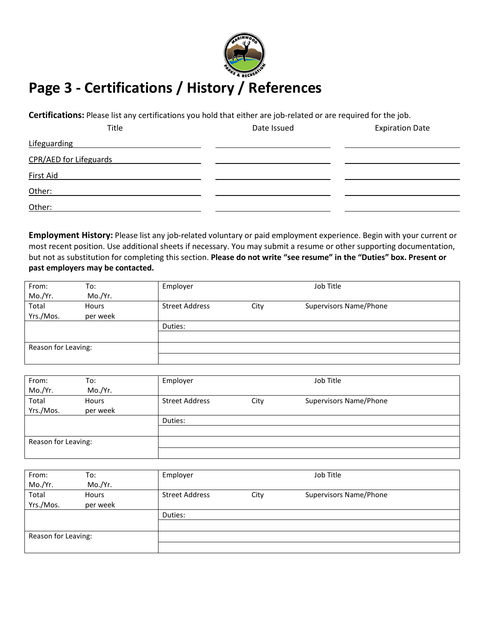

# **Page 3 - Certifications / History / References**

**Certifications:** Please list any certifications you hold that either are job-related or are required for the job.

| Title                  | Date Issued | <b>Expiration Date</b> |
|------------------------|-------------|------------------------|
| Lifeguarding           |             |                        |
| CPR/AED for Lifeguards |             |                        |
| <b>First Aid</b>       |             |                        |
| Other:                 |             |                        |
| Other:                 |             |                        |

**Employment History:** Please list any job-related voluntary or paid employment experience. Begin with your current or most recent position. Use additional sheets if necessary. You may submit a resume or other supporting documentation, but not as substitution for completing this section. **Please do not write "see resume" in the "Duties" box. Present or past employers may be contacted.**

| From:               | To:      | Employer              |      | Job Title                     |  |
|---------------------|----------|-----------------------|------|-------------------------------|--|
| Mo./Yr.             | Mo./Yr.  |                       |      |                               |  |
| Total               | Hours    | <b>Street Address</b> | City | <b>Supervisors Name/Phone</b> |  |
| Yrs./Mos.           | per week |                       |      |                               |  |
|                     |          | Duties:               |      |                               |  |
|                     |          |                       |      |                               |  |
| Reason for Leaving: |          |                       |      |                               |  |
|                     |          |                       |      |                               |  |

| From:               | To:      | Employer              |      | Job Title              |  |
|---------------------|----------|-----------------------|------|------------------------|--|
| Mo./Yr.             | Mo./Yr.  |                       |      |                        |  |
| Total               | Hours    | <b>Street Address</b> | City | Supervisors Name/Phone |  |
| Yrs./Mos.           | per week |                       |      |                        |  |
|                     |          | Duties:               |      |                        |  |
|                     |          |                       |      |                        |  |
| Reason for Leaving: |          |                       |      |                        |  |
|                     |          |                       |      |                        |  |

| From:               | To:      | Employer              |      | Job Title              |  |
|---------------------|----------|-----------------------|------|------------------------|--|
| Mo./Yr.             | Mo./Yr.  |                       |      |                        |  |
| Total               | Hours    | <b>Street Address</b> | City | Supervisors Name/Phone |  |
| Yrs./Mos.           | per week |                       |      |                        |  |
|                     |          | Duties:               |      |                        |  |
|                     |          |                       |      |                        |  |
| Reason for Leaving: |          |                       |      |                        |  |
|                     |          |                       |      |                        |  |